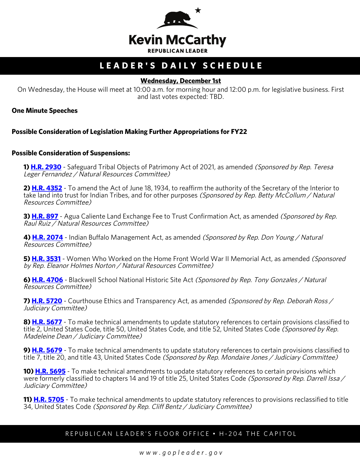

# **LEADER'S DAILY SCHEDULE**

## **Wednesday, December 1st**

On Wednesday, the House will meet at 10:00 a.m. for morning hour and 12:00 p.m. for legislative business. First and last votes expected: TBD.

**One Minute Speeches**

### **Possible Consideration of Legislation Making Further Appropriations for FY22**

#### **Possible Consideration of Suspensions:**

**1) [H.R. 2930](http://docs.house.gov/billsthisweek/20211129/BILLS-117hr2930-SUS.pdf)** - Safeguard Tribal Objects of Patrimony Act of 2021, as amended (Sponsored by Rep. Teresa Leger Fernandez / Natural Resources Committee)

**2) [H.R. 4352](http://docs.house.gov/billsthisweek/20211129/BILLS-117hr4352-SUS.pdf)** - To amend the Act of June 18, 1934, to reaffirm the authority of the Secretary of the Interior to take land into trust for Indian Tribes, and for other purposes (Sponsored by Rep. Betty McCollum / Natural Resources Committee)

**3) <b>[H.R. 897](http://docs.house.gov/billsthisweek/20211129/BILLS-117hr897-SUS.pdf)** - Agua Caliente Land Exchange Fee to Trust Confirmation Act, as amended *(Sponsored by Rep.* Raul Ruiz / Natural Resources Committee)

**4) [H.R. 2074](http://docs.house.gov/billsthisweek/20211129/BILLS-117hr2074-SUS.pdf)** - Indian Buffalo Management Act, as amended (Sponsored by Rep. Don Young / Natural Resources Committee)

**5) [H.R. 3531](http://docs.house.gov/billsthisweek/20211129/BILLS-117hr3531-SUS.pdf)** - Women Who Worked on the Home Front World War II Memorial Act, as amended (Sponsored by Rep. Eleanor Holmes Norton / Natural Resources Committee)

**6) [H.R. 4706](http://docs.house.gov/billsthisweek/20211129/BILLS-117hr4706-SUS.pdf)** - Blackwell School National Historic Site Act (Sponsored by Rep. Tony Gonzales / Natural Resources Committee)

**7) [H.R. 5720](http://docs.house.gov/billsthisweek/20211129/BILLS-117hr5720-SUS.pdf)** - Courthouse Ethics and Transparency Act, as amended (Sponsored by Rep. Deborah Ross / Judiciary Committee)

**8) [H.R. 5677](http://docs.house.gov/billsthisweek/20211129/BILLS-117hr5677-SUS.pdf)** - To make technical amendments to update statutory references to certain provisions classified to title 2, United States Code, title 50, United States Code, and title 52, United States Code (Sponsored by Rep. Madeleine Dean / Judiciary Committee)

**9) [H.R. 5679](http://docs.house.gov/billsthisweek/20211129/BILLS-117hr5679-SUS.pdf)** - To make technical amendments to update statutory references to certain provisions classified to title 7, title 20, and title 43, United States Code *(Sponsored by Rep. Mondaire Jones / Judiciary Committee)* 

**10) <b>[H.R. 5695](http://docs.house.gov/billsthisweek/20211129/BILLS-117hr5695-SUS.pdf)** - To make technical amendments to update statutory references to certain provisions which were formerly classified to chapters 14 and 19 of title 25, United States Code (Sponsored by Rep. Darrell Issa / Judiciary Committee)

**11) [H.R. 5705](http://docs.house.gov/billsthisweek/20211129/BILLS-117hr5705-SUS.pdf)** - To make technical amendments to update statutory references to provisions reclassified to title 34, United States Code (Sponsored by Rep. Cliff Bentz / Judiciary Committee)

## REPUBLICAN LEADER'S FLOOR OFFICE • H-204 THE CAPITOL